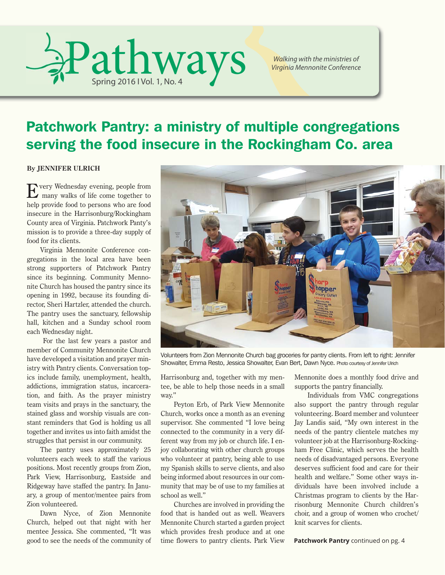

*Walking with the ministries of Virginia Mennonite Conference*

# Patchwork Pantry: a ministry of multiple congregations serving the food insecure in the Rockingham Co. area

**By JENNIFER ULRICH**

Every Wednesday evening, people from many walks of life come together to help provide food to persons who are food insecure in the Harrisonburg/Rockingham County area of Virginia. Patchwork Panty's mission is to provide a three-day supply of food for its clients.

Virginia Mennonite Conference congregations in the local area have been strong supporters of Patchwork Pantry since its beginning. Community Mennonite Church has housed the pantry since its opening in 1992, because its founding director, Sheri Hartzler, attended the church. The pantry uses the sanctuary, fellowship hall, kitchen and a Sunday school room each Wednesday night.

 For the last few years a pastor and member of Community Mennonite Church have developed a visitation and prayer ministry with Pantry clients. Conversation topics include family, unemployment, health, addictions, immigration status, incarceration, and faith. As the prayer ministry team visits and prays in the sanctuary, the stained glass and worship visuals are constant reminders that God is holding us all together and invites us into faith amidst the struggles that persist in our community.

The pantry uses approximately 25 volunteers each week to staff the various positions. Most recently groups from Zion, Park View, Harrisonburg, Eastside and Ridgeway have staffed the pantry. In January, a group of mentor/mentee pairs from Zion volunteered.

Dawn Nyce, of Zion Mennonite Church, helped out that night with her mentee Jessica. She commented, "It was good to see the needs of the community of



Volunteers from Zion Mennonite Church bag groceries for pantry clients. From left to right: Jennifer Showalter, Emma Resto, Jessica Showalter, Evan Bert, Dawn Nyce. Photo courtesy of Jennifer Ulrich

Harrisonburg and, together with my mentee, be able to help those needs in a small way."

Peyton Erb, of Park View Mennonite Church, works once a month as an evening supervisor. She commented "I love being connected to the community in a very different way from my job or church life. I enjoy collaborating with other church groups who volunteer at pantry, being able to use my Spanish skills to serve clients, and also being informed about resources in our community that may be of use to my families at school as well."

Churches are involved in providing the food that is handed out as well. Weavers Mennonite Church started a garden project which provides fresh produce and at one time flowers to pantry clients. Park View Mennonite does a monthly food drive and supports the pantry financially.

Individuals from VMC congregations also support the pantry through regular volunteering. Board member and volunteer Jay Landis said, "My own interest in the needs of the pantry clientele matches my volunteer job at the Harrisonburg-Rockingham Free Clinic, which serves the health needs of disadvantaged persons. Everyone deserves sufficient food and care for their health and welfare." Some other ways individuals have been involved include a Christmas program to clients by the Harrisonburg Mennonite Church children's choir, and a group of women who crochet/ knit scarves for clients.

**Patchwork Pantry** continued on pg. 4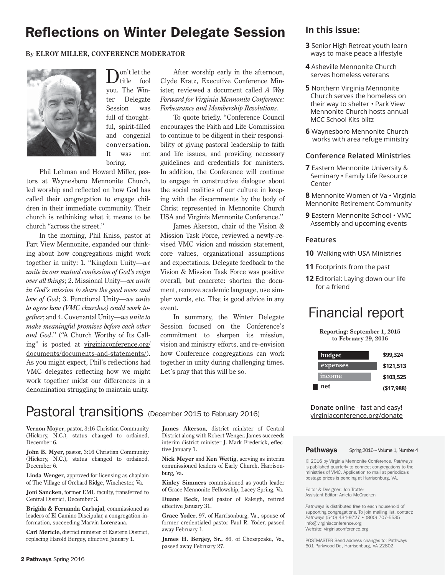### Reflections on Winter Delegate Session **In this issue:**

#### **By ELROY MILLER, CONFERENCE MODERATOR**



D<sup>on't let the</sup> fool you. The Winter Delegate Session was full of thoughtful, spirit-filled and congenial conversation. It was not boring.

Phil Lehman and Howard Miller, pastors at Waynesboro Mennonite Church, led worship and reflected on how God has called their congregation to engage children in their immediate community. Their church is rethinking what it means to be church "across the street."

In the morning, Phil Kniss, pastor at Part View Mennonite, expanded our thinking about how congregations might work together in unity: 1. "Kingdom Unity—*we unite in our mutual confession of God's reign over all things*; 2. Missional Unity—*we unite in God's mission to share the good news and love of God*; 3. Functional Unity—*we unite to agree how (VMC churches) could work together*; and 4. Covenantal Unity—*we unite to make meaningful promises before each other and God*." ("A Church Worthy of Its Calling" is posted at virginiaconference.org/ documents/documents-and-statements/). As you might expect, Phil's reflections had VMC delegates reflecting how we might work together midst our differences in a denomination struggling to maintain unity.

After worship early in the afternoon, Clyde Kratz, Executive Conference Minister, reviewed a document called *A Way Forward for Virginia Mennonite Conference: Forbearance and Membership Resolutions*.

To quote briefly, "Conference Council encourages the Faith and Life Commission to continue to be diligent in their responsibility of giving pastoral leadership to faith and life issues, and providing necessary guidelines and credentials for ministers. In addition, the Conference will continue to engage in constructive dialogue about the social realities of our culture in keeping with the discernments by the body of Christ represented in Mennonite Church USA and Virginia Mennonite Conference."

James Akerson, chair of the Vision & Mission Task Force, reviewed a newly-revised VMC vision and mission statement, core values, organizational assumptions and expectations. Delegate feedback to the Vision & Mission Task Force was positive overall, but concrete: shorten the document, remove academic language, use simpler words, etc. That is good advice in any event.

In summary, the Winter Delegate Session focused on the Conference's commitment to sharpen its mission, vision and ministry efforts, and re-envision how Conference congregations can work together in unity during challenging times. Let's pray that this will be so.

# Pastoral transitions (December 2015 to February 2016)

**Vernon Moyer**, pastor, 3:16 Christian Community (Hickory, N.C.), status changed to ordained, December 6.

**John B. Myer**, pastor, 3:16 Christian Community (Hickory, N.C.), status changed to ordained, December 6.

**Linda Wenger**, approved for licensing as chaplain of The Village of Orchard Ridge, Winchester, Va.

**Joni Sancken**, former EMU faculty, transferred to Central District, December 3.

**Brigida & Fernanda Carbajal**, commissioned as leaders of El Camino Discipular, a congregation-information, succeeding Marvin Lorenzana.

**Carl Mericle**, district minister of Eastern District, replacing Harold Bergey, effective January 1.

**James Akerson**, district minister of Central District along with Robert Wenger. James succeeds interim district minister J. Mark Frederick, effective January 1.

**Nick Meyer** and **Ken Wettig**, serving as interim commissioned leaders of Early Church, Harrisonburg, Va.

**Kinley Simmers** commissioned as youth leader of Grace Mennonite Fellowship, Lacey Spring, Va.

**Duane Beck**, lead pastor of Raleigh, retired effective January 31.

**Grace Yoder**, 97, of Harrisonburg, Va., spouse of former credentialed pastor Paul R. Yoder, passed away February 1.

**James H. Bergey, Sr.,** 86, of Chesapeake, Va., passed away February 27.

- **3** Senior High Retreat youth learn ways to make peace a lifestyle
- **4** Asheville Mennonite Church serves homeless veterans
- **5** Northern Virginia Mennonite Church serves the homeless on their way to shelter • Park View Mennonite Church hosts annual MCC School Kits blitz
- **6** Waynesboro Mennonite Church works with area refuge ministry

#### **Conference Related Ministries**

**7** Eastern Mennonite University & Seminary • Family Life Resource Center

**8** Mennonite Women of Va • Virginia Mennonite Retirement Community

**9** Eastern Mennonite School • VMC Assembly and upcoming events

#### **Features**

- **10** Walking with USA Ministries
- **11** Footprints from the past
- **12** Editorial: Laying down our life for a friend

# Financial report

**Reporting: September 1, 2015 to February 29, 2016**

| budget   | \$99.324   |
|----------|------------|
| expenses | \$121,513  |
| income   | \$103,525  |
| net      | (\$17,988) |

**Donate online** - fast and easy! virginiaconference.org/donate

#### Pathways Spring 2016 – Volume 1, Number 4

© 2016 by Virginia Mennonite Conference. *Pathways* is published quarterly to connect congregations to the ministries of VMC. Application to mail at periodicals postage prices is pending at Harrisonburg, VA.

Editor & Designer: Jon Trotter Assistant Editor: Anieta McCracken

*Pathways* is distributed free to each household of supporting congregations. To join mailing list, contact: *Pathways* (540) 434-9727 • (800) 707-5535 info@virginiaconference.org Website: virginiaconference.org

POSTMASTER Send address changes to: Pathways 601 Parkwood Dr., Harrisonburg, VA 22802.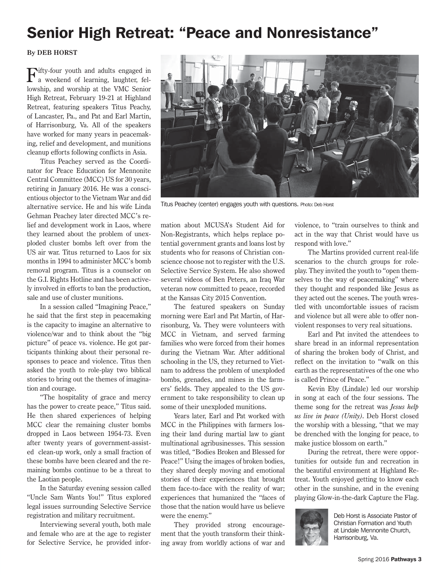# Senior High Retreat: "Peace and Nonresistance"

#### **By DEB HORST**

Fifty-four youth and adults engaged in a weekend of learning, laughter, fellowship, and worship at the VMC Senior High Retreat, February 19-21 at Highland Retreat, featuring speakers Titus Peachy, of Lancaster, Pa., and Pat and Earl Martin, of Harrisonburg, Va. All of the speakers have worked for many years in peacemaking, relief and development, and munitions cleanup efforts following conflicts in Asia.

Titus Peachey served as the Coordinator for Peace Education for Mennonite Central Committee (MCC) US for 30 years, retiring in January 2016. He was a conscientious objector to the Vietnam War and did alternative service. He and his wife Linda Gehman Peachey later directed MCC's relief and development work in Laos, where they learned about the problem of unexploded cluster bombs left over from the US air war. Titus returned to Laos for six months in 1994 to administer MCC's bomb removal program. Titus is a counselor on the G.I. Rights Hotline and has been actively involved in efforts to ban the production, sale and use of cluster munitions.

In a session called "Imagining Peace," he said that the first step in peacemaking is the capacity to imagine an alternative to violence/war and to think about the "big picture" of peace vs. violence. He got participants thinking about their personal responses to peace and violence. Titus then asked the youth to role-play two biblical stories to bring out the themes of imagination and courage.

"The hospitality of grace and mercy has the power to create peace," Titus said. He then shared experiences of helping MCC clear the remaining cluster bombs dropped in Laos between 1954-73. Even after twenty years of government-assisted clean-up work, only a small fraction of these bombs have been cleared and the remaining bombs continue to be a threat to the Laotian people.

In the Saturday evening session called "Uncle Sam Wants You!" Titus explored legal issues surrounding Selective Service registration and military recruitment.

Interviewing several youth, both male and female who are at the age to register for Selective Service, he provided inforTitus Peachey (center) engages youth with questions. Photo: Deb Horst

mation about MCUSA's Student Aid for Non-Registrants, which helps replace potential government grants and loans lost by students who for reasons of Christian conscience choose not to register with the U.S. Selective Service System. He also showed several videos of Ben Peters, an Iraq War veteran now committed to peace, recorded at the Kansas City 2015 Convention.

The featured speakers on Sunday morning were Earl and Pat Martin, of Harrisonburg, Va. They were volunteers with MCC in Vietnam, and served farming families who were forced from their homes during the Vietnam War. After additional schooling in the US, they returned to Vietnam to address the problem of unexploded bombs, grenades, and mines in the farmers' fields. They appealed to the US government to take responsibility to clean up some of their unexploded munitions.

Years later, Earl and Pat worked with MCC in the Philippines with farmers losing their land during martial law to giant multinational agribusinesses. This session was titled, "Bodies Broken and Blessed for Peace!" Using the images of broken bodies, they shared deeply moving and emotional stories of their experiences that brought them face-to-face with the reality of war; experiences that humanized the "faces of those that the nation would have us believe were the enemy."

They provided strong encouragement that the youth transform their thinking away from worldly actions of war and violence, to "train ourselves to think and act in the way that Christ would have us respond with love."

The Martins provided current real-life scenarios to the church groups for roleplay. They invited the youth to "open themselves to the way of peacemaking" where they thought and responded like Jesus as they acted out the scenes. The youth wrestled with uncomfortable issues of racism and violence but all were able to offer nonviolent responses to very real situations.

Earl and Pat invited the attendees to share bread in an informal representation of sharing the broken body of Christ, and reflect on the invitation to "walk on this earth as the representatives of the one who is called Prince of Peace."

Kevin Eby (Lindale) led our worship in song at each of the four sessions. The theme song for the retreat was *Jesus help us live in peace (Unity)*. Deb Horst closed the worship with a blessing, "that we may be drenched with the longing for peace, to make justice blossom on earth."

During the retreat, there were opportunities for outside fun and recreation in the beautiful environment at Highland Retreat. Youth enjoyed getting to know each other in the sunshine, and in the evening playing Glow-in-the-dark Capture the Flag.



Deb Horst is Associate Pastor of Christian Formation and Youth at Lindale Mennonite Church, Harrisonburg, Va.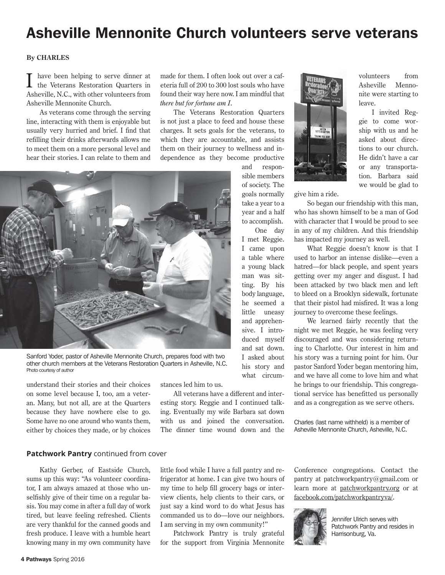# Asheville Mennonite Church volunteers serve veterans

#### **By CHARLES**

have been helping to serve dinner at the Veterans Restoration Quarters in Asheville, N.C., with other volunteers from Asheville Mennonite Church.

As veterans come through the serving line, interacting with them is enjoyable but usually very hurried and brief. I find that refilling their drinks afterwards allows me to meet them on a more personal level and hear their stories. I can relate to them and made for them. I often look out over a cafeteria full of 200 to 300 lost souls who have found their way here now. I am mindful that *there but for fortune am I*.

The Veterans Restoration Quarters is not just a place to feed and house these charges. It sets goals for the veterans, to which they are accountable, and assists them on their journey to wellness and independence as they become productive



Sanford Yoder, pastor of Asheville Mennonite Church, prepares food with two other church members at the Veterans Restoration Quarters in Asheville, N.C. Photo courtesy of author

understand their stories and their choices on some level because I, too, am a veteran. Many, but not all, are at the Quarters because they have nowhere else to go. Some have no one around who wants them, either by choices they made, or by choices stances led him to us.

All veterans have a different and interesting story. Reggie and I continued talking. Eventually my wife Barbara sat down with us and joined the conversation. The dinner time wound down and the



volunteers from Asheville Mennonite were starting to leave.

I invited Reggie to come worship with us and he asked about directions to our church. He didn't have a car or any transportation. Barbara said we would be glad to

give him a ride.

One day

his story and what circum-

So began our friendship with this man, who has shown himself to be a man of God with character that I would be proud to see in any of my children. And this friendship has impacted my journey as well.

What Reggie doesn't know is that I used to harbor an intense dislike—even a hatred—for black people, and spent years getting over my anger and disgust. I had been attacked by two black men and left to bleed on a Brooklyn sidewalk, fortunate that their pistol had misfired. It was a long journey to overcome these feelings.

We learned fairly recently that the night we met Reggie, he was feeling very discouraged and was considering returning to Charlotte. Our interest in him and his story was a turning point for him. Our pastor Sanford Yoder began mentoring him, and we have all come to love him and what he brings to our friendship. This congregational service has benefitted us personally and as a congregation as we serve others.

Charles (last name withheld) is a member of Asheville Mennonite Church, Asheville, N.C.

#### **Patchwork Pantry** continued from cover

Kathy Gerber, of Eastside Church, sums up this way: "As volunteer coordinator, I am always amazed at those who unselfishly give of their time on a regular basis. You may come in after a full day of work tired, but leave feeling refreshed. Clients are very thankful for the canned goods and fresh produce. I leave with a humble heart knowing many in my own community have

little food while I have a full pantry and refrigerator at home. I can give two hours of my time to help fill grocery bags or interview clients, help clients to their cars, or just say a kind word to do what Jesus has commanded us to do—love our neighbors. I am serving in my own community!"

Patchwork Pantry is truly grateful for the support from Virginia Mennonite

Conference congregations. Contact the pantry at patchworkpantry@gmail.com or learn more at patchworkpantry.org or at facebook.com/patchworkpantryva/.



Jennifer Ulrich serves with Patchwork Pantry and resides in Harrisonburg, Va.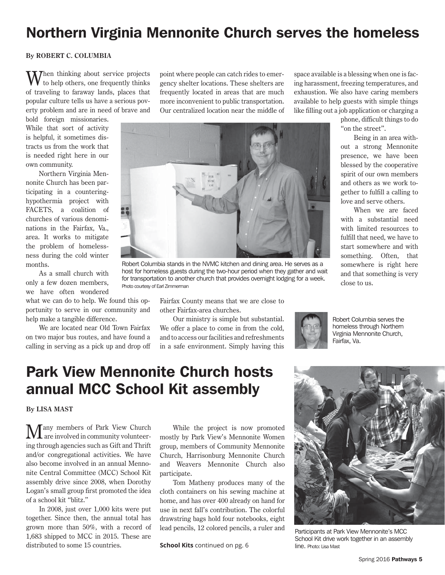# Northern Virginia Mennonite Church serves the homeless

#### **By ROBERT C. COLUMBIA**

**M** Then thinking about service projects to help others, one frequently thinks of traveling to faraway lands, places that popular culture tells us have a serious poverty problem and are in need of brave and

bold foreign missionaries. While that sort of activity is helpful, it sometimes distracts us from the work that is needed right here in our own community.

Northern Virginia Mennonite Church has been participating in a counteringhypothermia project with FACETS, a coalition of churches of various denominations in the Fairfax, Va., area. It works to mitigate the problem of homelessness during the cold winter months.

As a small church with only a few dozen members, we have often wondered

what we can do to help. We found this opportunity to serve in our community and help make a tangible difference.

We are located near Old Town Fairfax on two major bus routes, and have found a calling in serving as a pick up and drop off point where people can catch rides to emergency shelter locations. These shelters are frequently located in areas that are much more inconvenient to public transportation. Our centralized location near the middle of



Robert Columbia stands in the NVMC kitchen and dining area. He serves as a host for homeless guests during the two-hour period when they gather and wait for transportation to another church that provides overnight lodging for a week. Photo courtesy of Earl Zimmerman

Fairfax County means that we are close to other Fairfax-area churches.

Our ministry is simple but substantial. We offer a place to come in from the cold, and to access our facilities and refreshments in a safe environment. Simply having this

space available is a blessing when one is facing harassment, freezing temperatures, and exhaustion. We also have caring members available to help guests with simple things like filling out a job application or charging a

phone, difficult things to do "on the street".

Being in an area without a strong Mennonite presence, we have been blessed by the cooperative spirit of our own members and others as we work together to fulfill a calling to love and serve others.

When we are faced with a substantial need with limited resources to fulfill that need, we have to start somewhere and with something. Often, that somewhere is right here and that something is very close to us.



Robert Columbia serves the homeless through Northern Virginia Mennonite Church, Fairfax, Va.

# Park View Mennonite Church hosts annual MCC School Kit assembly

**By LISA MAST**

any members of Park View Church are involved in community volunteering through agencies such as Gift and Thrift and/or congregational activities. We have also become involved in an annual Mennonite Central Committee (MCC) School Kit assembly drive since 2008, when Dorothy Logan's small group first promoted the idea of a school kit "blitz."

In 2008, just over 1,000 kits were put together. Since then, the annual total has grown more than 50%, with a record of 1,683 shipped to MCC in 2015. These are distributed to some 15 countries.

While the project is now promoted mostly by Park View's Mennonite Women group, members of Community Mennonite Church, Harrisonburg Mennonite Church and Weavers Mennonite Church also participate.

Tom Matheny produces many of the cloth containers on his sewing machine at home, and has over 400 already on hand for use in next fall's contribution. The colorful drawstring bags hold four notebooks, eight lead pencils, 12 colored pencils, a ruler and

**School Kits** continued on pg. 6 line. Photo: Lisa Mast



Participants at Park View Mennonite's MCC School Kit drive work together in an assembly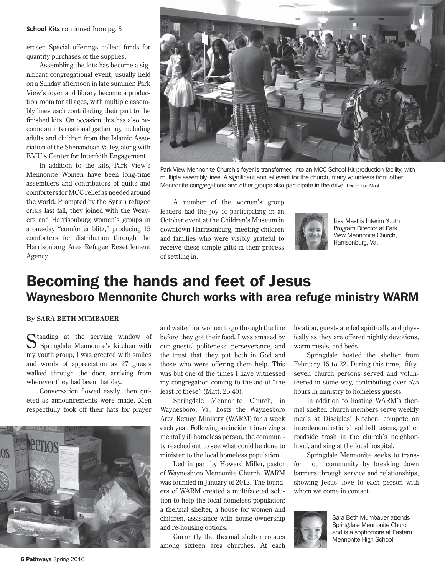#### **School Kits** continued from pg. 5

eraser. Special offerings collect funds for quantity purchases of the supplies.

Assembling the kits has become a significant congregational event, usually held on a Sunday afternoon in late summer. Park View's foyer and library become a production room for all ages, with multiple assembly lines each contributing their part to the finished kits. On occasion this has also become an international gathering, including adults and children from the Islamic Association of the Shenandoah Valley, along with EMU's Center for Interfaith Engagement.

In addition to the kits, Park View's Mennonite Women have been long-time assemblers and contributors of quilts and comforters for MCC relief as needed around the world. Prompted by the Syrian refugee crisis last fall, they joined with the Weavers and Harrisonburg women's groups in a one-day "comforter blitz," producing 15 comforters for distribution through the Harrisonburg Area Refugee Resettlement Agency.



Park View Mennonite Church's foyer is transformed into an MCC School Kit production facility, with multiple assembly lines. A significant annual event for the church, many volunteers from other Mennonite congregations and other groups also participate in the drive. Photo: Lisa Mast

A number of the women's group leaders had the joy of participating in an October event at the Children's Museum in downtown Harrisonburg, meeting children and families who were visibly grateful to receive these simple gifts in their process of settling in.



Lisa Mast is Interim Youth Program Director at Park View Mennonite Church, Harrisonburg, Va.

### Becoming the hands and feet of Jesus Waynesboro Mennonite Church works with area refuge ministry WARM

#### **By SARA BETH MUMBAUER**

 $\Gamma$  tanding at the serving window of  $\sum$  Springdale Mennonite's kitchen with my youth group, I was greeted with smiles and words of appreciation as 27 guests walked through the door, arriving from wherever they had been that day.

Conversation flowed easily, then quieted as announcements were made. Men respectfully took off their hats for prayer



and waited for women to go through the line before they got their food. I was amazed by our guests' politeness, perseverance, and the trust that they put both in God and those who were offering them help. This was but one of the times I have witnessed my congregation coming to the aid of "the least of these" (Matt. 25:40).

Springdale Mennonite Church, in Waynesboro, Va., hosts the Waynesboro Area Refuge Ministry (WARM) for a week each year. Following an incident involving a mentally ill homeless person, the community reached out to see what could be done to minister to the local homeless population.

Led in part by Howard Miller, pastor of Waynesboro Mennonite Church, WARM was founded in January of 2012. The founders of WARM created a multifaceted solution to help the local homeless population; a thermal shelter, a house for women and children, assistance with house ownership and re-housing options.

Currently the thermal shelter rotates among sixteen area churches. At each location, guests are fed spiritually and physically as they are offered nightly devotions, warm meals, and beds.

Springdale hosted the shelter from February 15 to 22. During this time, fiftyseven church persons served and volunteered in some way, contributing over 575 hours in ministry to homeless guests.

In addition to hosting WARM's thermal shelter, church members serve weekly meals at Disciples' Kitchen, compete on interdenominational softball teams, gather roadside trash in the church's neighborhood, and sing at the local hospital.

Springdale Mennonite seeks to transform our community by breaking down barriers through service and relationships, showing Jesus' love to each person with whom we come in contact.



Sara Beth Mumbauer attends Springdale Mennonite Church and is a sophomore at Eastern Mennonite High School.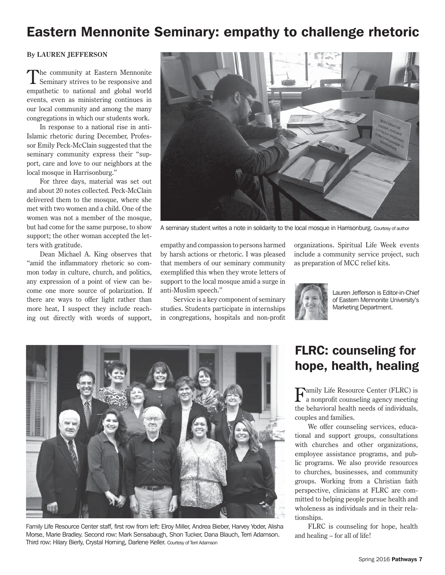### Eastern Mennonite Seminary: empathy to challenge rhetoric

#### **By LAUREN JEFFERSON**

The community at Eastern Mennonite Seminary strives to be responsive and empathetic to national and global world events, even as ministering continues in our local community and among the many congregations in which our students work.

In response to a national rise in anti-Islamic rhetoric during December, Professor Emily Peck-McClain suggested that the seminary community express their "support, care and love to our neighbors at the local mosque in Harrisonburg."

For three days, material was set out and about 20 notes collected. Peck-McClain delivered them to the mosque, where she met with two women and a child. One of the women was not a member of the mosque, but had come for the same purpose, to show support; the other woman accepted the letters with gratitude.

Dean Michael A. King observes that "amid the inflammatory rhetoric so common today in culture, church, and politics, any expression of a point of view can become one more source of polarization. If there are ways to offer light rather than more heat, I suspect they include reaching out directly with words of support,



A seminary student writes a note in solidarity to the local mosque in Harrisonburg. Courtesy of author

empathy and compassion to persons harmed by harsh actions or rhetoric. I was pleased that members of our seminary community exemplified this when they wrote letters of support to the local mosque amid a surge in anti-Muslim speech."

Service is a key component of seminary studies. Students participate in internships in congregations, hospitals and non-profit organizations. Spiritual Life Week events include a community service project, such as preparation of MCC relief kits.



Lauren Jefferson is Editor-in-Chief of Eastern Mennonite University's Marketing Department.



Family Life Resource Center staff, first row from left: Elroy Miller, Andrea Bieber, Harvey Yoder, Alisha Morse, Marie Bradley. Second row: Mark Sensabaugh, Shon Tucker, Dana Blauch, Terri Adamson. Third row: Hilary Bierly, Crystal Horning, Darlene Keller. Courtesy of Terri Adamson

### FLRC: counseling for hope, health, healing

 ${\bf F}$ amily Life Resource Center (FLRC) is a nonprofit counseling agency meeting the behavioral health needs of individuals, couples and families.

We offer counseling services, educational and support groups, consultations with churches and other organizations, employee assistance programs, and public programs. We also provide resources to churches, businesses, and community groups. Working from a Christian faith perspective, clinicians at FLRC are committed to helping people pursue health and wholeness as individuals and in their relationships.

FLRC is counseling for hope, health and healing – for all of life!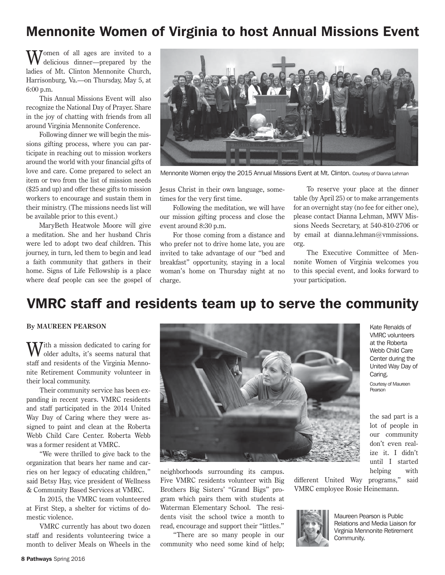### Mennonite Women of Virginia to host Annual Missions Event

Momen of all ages are invited to a delicious dinner—prepared by the ladies of Mt. Clinton Mennonite Church, Harrisonburg, Va.—on Thursday, May 5, at 6:00 p.m.

This Annual Missions Event will also recognize the National Day of Prayer. Share in the joy of chatting with friends from all around Virginia Mennonite Conference.

Following dinner we will begin the missions gifting process, where you can participate in reaching out to mission workers around the world with your financial gifts of love and care. Come prepared to select an item or two from the list of mission needs (\$25 and up) and offer these gifts to mission workers to encourage and sustain them in their ministry. (The missions needs list will be available prior to this event.)

MaryBeth Heatwole Moore will give a meditation. She and her husband Chris were led to adopt two deaf children. This journey, in turn, led them to begin and lead a faith community that gathers in their home. Signs of Life Fellowship is a place where deaf people can see the gospel of



Mennonite Women enjoy the 2015 Annual Missions Event at Mt. Clinton. Courtesy of Dianna Lehman

Jesus Christ in their own language, sometimes for the very first time.

Following the meditation, we will have our mission gifting process and close the event around 8:30 p.m.

For those coming from a distance and who prefer not to drive home late, you are invited to take advantage of our "bed and breakfast" opportunity, staying in a local woman's home on Thursday night at no charge.

To reserve your place at the dinner table (by April 25) or to make arrangements for an overnight stay (no fee for either one), please contact Dianna Lehman, MWV Missions Needs Secretary, at 540-810-2706 or by email at dianna.lehman@vmmissions. org.

The Executive Committee of Mennonite Women of Virginia welcomes you to this special event, and looks forward to your participation.

### VMRC staff and residents team up to serve the community

#### **By MAUREEN PEARSON**

**Tith a mission dedicated to caring for** older adults, it's seems natural that staff and residents of the Virginia Mennonite Retirement Community volunteer in their local community.

Their community service has been expanding in recent years. VMRC residents and staff participated in the 2014 United Way Day of Caring where they were assigned to paint and clean at the Roberta Webb Child Care Center. Roberta Webb was a former resident at VMRC.

"We were thrilled to give back to the organization that bears her name and carries on her legacy of educating children," said Betsy Hay, vice president of Wellness & Community Based Services at VMRC.

In 2015, the VMRC team volunteered at First Step, a shelter for victims of domestic violence.

VMRC currently has about two dozen staff and residents volunteering twice a month to deliver Meals on Wheels in the



neighborhoods surrounding its campus. Five VMRC residents volunteer with Big Brothers Big Sisters' "Grand Bigs" program which pairs them with students at Waterman Elementary School. The residents visit the school twice a month to read, encourage and support their "littles."

"There are so many people in our community who need some kind of help;

Kate Renalds of VMRC volunteers at the Roberta Webb Child Care Center during the United Way Day of Caring. Courtesy of Maureen Pearson

the sad part is a lot of people in our community don't even realize it. I didn't until I started helping with

different United Way programs," said VMRC employee Rosie Heinemann.



Maureen Pearson is Public Relations and Media Liaison for Virginia Mennonite Retirement Community.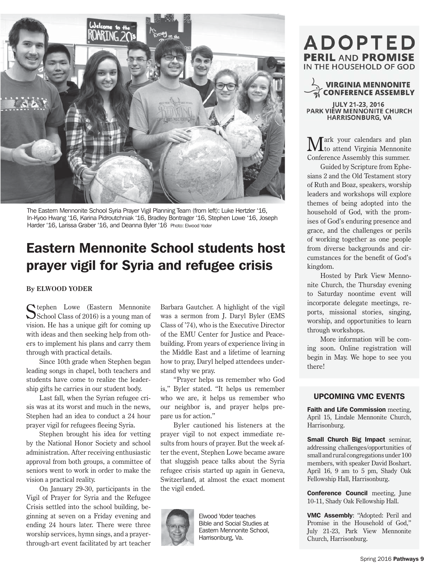

The Eastern Mennonite School Syria Prayer Vigil Planning Team (from left): Luke Hertzler '16, In-Kyoo Hwang '16, Karina Pidroutchniak '16, Bradley Bontrager '16, Stephen Lowe '16, Joseph Harder '16, Larissa Graber '16, and Deanna Byler '16 Photo: Elwood Yoder

## Eastern Mennonite School students host prayer vigil for Syria and refugee crisis

#### **By ELWOOD YODER**

Ctephen Lowe (Eastern Mennonite School Class of 2016) is a young man of vision. He has a unique gift for coming up with ideas and then seeking help from others to implement his plans and carry them through with practical details.

Since 10th grade when Stephen began leading songs in chapel, both teachers and students have come to realize the leadership gifts he carries in our student body.

Last fall, when the Syrian refugee crisis was at its worst and much in the news, Stephen had an idea to conduct a 24 hour prayer vigil for refugees fleeing Syria.

Stephen brought his idea for vetting by the National Honor Society and school administration. After receiving enthusiastic approval from both groups, a committee of seniors went to work in order to make the vision a practical reality.

On January 29-30, participants in the Vigil of Prayer for Syria and the Refugee Crisis settled into the school building, beginning at seven on a Friday evening and ending 24 hours later. There were three worship services, hymn sings, and a prayerthrough-art event facilitated by art teacher Barbara Gautcher. A highlight of the vigil was a sermon from J. Daryl Byler (EMS Class of '74), who is the Executive Director of the EMU Center for Justice and Peacebuilding. From years of experience living in the Middle East and a lifetime of learning how to pray, Daryl helped attendees understand why we pray.

"Prayer helps us remember who God is," Byler stated. "It helps us remember who we are, it helps us remember who our neighbor is, and prayer helps prepare us for action."

Byler cautioned his listeners at the prayer vigil to not expect immediate results from hours of prayer. But the week after the event, Stephen Lowe became aware that sluggish peace talks about the Syria refugee crisis started up again in Geneva, Switzerland, at almost the exact moment the vigil ended.



Elwood Yoder teaches Bible and Social Studies at Eastern Mennonite School, Harrisonburg, Va.

### **ADOPTED PERIL AND PROMISE** IN THE HOUSEHOLD OF GOD

### **VIRGINIA MENNONITE CONFERENCE ASSEMBLY**

JULY 21-23, 2016 PARK VIÉW MENNONITE CHURCH **HARRISONBURG, VA** 

 $\mathbf{M}$ ark your calendars and plan<br>to attend Virginia Mennonite Conference Assembly this summer.

Guided by Scripture from Ephesians 2 and the Old Testament story of Ruth and Boaz, speakers, worship leaders and workshops will explore themes of being adopted into the household of God, with the promises of God's enduring presence and grace, and the challenges or perils of working together as one people from diverse backgrounds and circumstances for the benefit of God's kingdom.

Hosted by Park View Mennonite Church, the Thursday evening to Saturday noontime event will incorporate delegate meetings, reports, missional stories, singing, worship, and opportunities to learn through workshops.

More information will be coming soon. Online registration will begin in May. We hope to see you there!

#### UPCOMING VMC EVENTS

Faith and Life Commission meeting, April 15, Lindale Mennonite Church, Harrisonburg.

Small Church Big Impact seminar, addressing challenges/opportunities of small and rural congregations under 100 members, with speaker David Boshart. April 16, 9 am to 5 pm, Shady Oak Fellowship Hall, Harrisonburg.

Conference Council meeting, June 10-11, Shady Oak Fellowship Hall.

VMC Assembly: "Adopted: Peril and Promise in the Household of God," July 21-23, Park View Mennonite Church, Harrisonburg.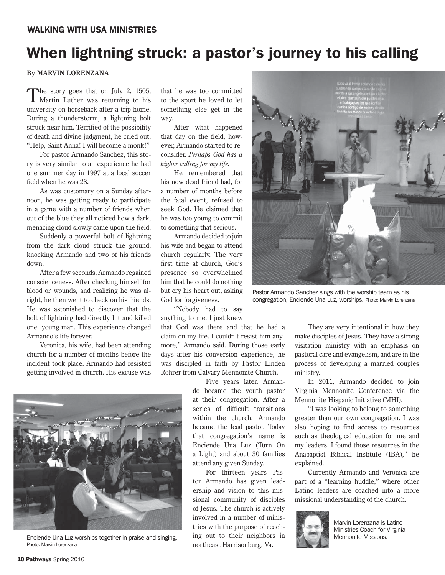# When lightning struck: a pastor's journey to his calling

**By MARVIN LORENZANA**

The story goes that on July 2, 1505,<br>Martin Luther was returning to his university on horseback after a trip home. During a thunderstorm, a lightning bolt struck near him. Terrified of the possibility of death and divine judgment, he cried out, "Help, Saint Anna! I will become a monk!"

For pastor Armando Sanchez, this story is very similar to an experience he had one summer day in 1997 at a local soccer field when he was 28.

As was customary on a Sunday afternoon, he was getting ready to participate in a game with a number of friends when out of the blue they all noticed how a dark, menacing cloud slowly came upon the field.

Suddenly a powerful bolt of lightning from the dark cloud struck the ground, knocking Armando and two of his friends down.

After a few seconds, Armando regained conscienceness. After checking himself for blood or wounds, and realizing he was alright, he then went to check on his friends. He was astonished to discover that the bolt of lightning had directly hit and killed one young man. This experience changed Armando's life forever.

Veronica, his wife, had been attending church for a number of months before the incident took place. Armando had resisted getting involved in church. His excuse was

Enciende Una Luz worships together in praise and singing. Photo: Marvin Lorenzana

that he was too committed to the sport he loved to let something else get in the way.

After what happened that day on the field, however, Armando started to reconsider. *Perhaps God has a higher calling for my life.*

He remembered that his now dead friend had, for a number of months before the fatal event, refused to seek God. He claimed that he was too young to commit to something that serious.

Armando decided to join his wife and began to attend church regularly. The very first time at church, God's presence so overwhelmed him that he could do nothing but cry his heart out, asking God for forgiveness.

"Nobody had to say anything to me, I just knew

that God was there and that he had a claim on my life. I couldn't resist him anymore," Armando said. During those early days after his conversion experience, he was discipled in faith by Pastor Linden Rohrer from Calvary Mennonite Church.

> Five years later, Armando became the youth pastor at their congregation. After a series of difficult transitions within the church, Armando became the lead pastor. Today that congregation's name is Enciende Una Luz (Turn On a Light) and about 30 families attend any given Sunday.

> For thirteen years Pastor Armando has given leadership and vision to this missional community of disciples of Jesus. The church is actively involved in a number of ministries with the purpose of reaching out to their neighbors in northeast Harrisonburg, Va.



Pastor Armando Sanchez sings with the worship team as his congregation, Enciende Una Luz, worships. Photo: Marvin Lorenzana

They are very intentional in how they make disciples of Jesus. They have a strong visitation ministry with an emphasis on pastoral care and evangelism, and are in the process of developing a married couples ministry.

In 2011, Armando decided to join Virginia Mennonite Conference via the Mennonite Hispanic Initiative (MHI).

"I was looking to belong to something greater than our own congregation. I was also hoping to find access to resources such as theological education for me and my leaders. I found those resources in the Anabaptist Biblical Institute (IBA)," he explained.

Currently Armando and Veronica are part of a "learning huddle," where other Latino leaders are coached into a more missional understanding of the church.



Marvin Lorenzana is Latino Ministries Coach for Virginia Mennonite Missions.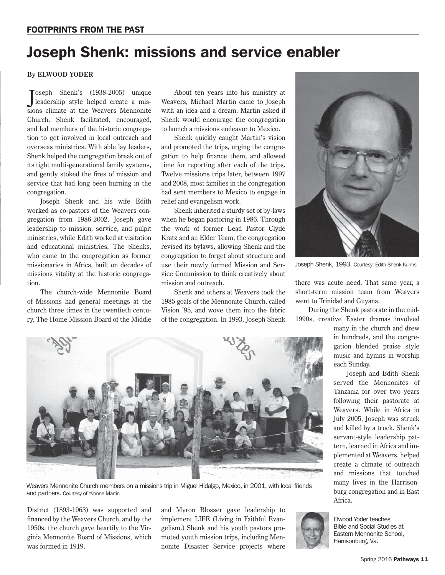# Joseph Shenk: missions and service enabler

#### **By ELWOOD YODER**

J leadership style helped create a misoseph Shenk's (1938-2005) unique sions climate at the Weavers Mennonite Church. Shenk facilitated, encouraged, and led members of the historic congregation to get involved in local outreach and overseas ministries. With able lay leaders, Shenk helped the congregation break out of its tight multi-generational family systems, and gently stoked the fires of mission and service that had long been burning in the congregation.

Joseph Shenk and his wife Edith worked as co-pastors of the Weavers congregation from 1986-2002. Joseph gave leadership to mission, service, and pulpit ministries, while Edith worked at visitation and educational ministries. The Shenks, who came to the congregation as former missionaries in Africa, built on decades of missions vitality at the historic congregation.

The church-wide Mennonite Board of Missions had general meetings at the church three times in the twentieth century. The Home Mission Board of the Middle

About ten years into his ministry at Weavers, Michael Martin came to Joseph with an idea and a dream. Martin asked if Shenk would encourage the congregation to launch a missions endeavor to Mexico.

Shenk quickly caught Martin's vision and promoted the trips, urging the congregation to help finance them, and allowed time for reporting after each of the trips. Twelve missions trips later, between 1997 and 2008, most families in the congregation had sent members to Mexico to engage in relief and evangelism work.

Shenk inherited a sturdy set of by-laws when he began pastoring in 1986. Through the work of former Lead Pastor Clyde Kratz and an Elder Team, the congregation revised its bylaws, allowing Shenk and the congregation to forget about structure and use their newly formed Mission and Service Commission to think creatively about mission and outreach.

Shenk and others at Weavers took the 1985 goals of the Mennonite Church, called Vision '95, and wove them into the fabric of the congregation. In 1993, Joseph Shenk



Joseph Shenk, 1993. Courtesy: Edith Shenk Kuhns

there was acute need. That same year, a short-term mission team from Weavers went to Trinidad and Guyana.

During the Shenk pastorate in the mid-1990s, creative Easter dramas involved

> many in the church and drew in hundreds, and the congregation blended praise style music and hymns in worship each Sunday.

> Joseph and Edith Shenk served the Mennonites of Tanzania for over two years following their pastorate at Weavers. While in Africa in July 2005, Joseph was struck and killed by a truck. Shenk's servant-style leadership pattern, learned in Africa and implemented at Weavers, helped create a climate of outreach and missions that touched many lives in the Harrisonburg congregation and in East Africa.



Weavers Mennonite Church members on a missions trip in Miguel Hidalgo, Mexico, in 2001, with local friends and partners. Courtesy of Yvonne Martin

District (1893-1963) was supported and financed by the Weavers Church, and by the 1950s, the church gave heartily to the Virginia Mennonite Board of Missions, which was formed in 1919.

and Myron Blosser gave leadership to implement LIFE (Living in Faithful Evangelism.) Shenk and his youth pastors promoted youth mission trips, including Mennonite Disaster Service projects where



Elwood Yoder teaches Bible and Social Studies at Eastern Mennonite School, Harrisonburg, Va.